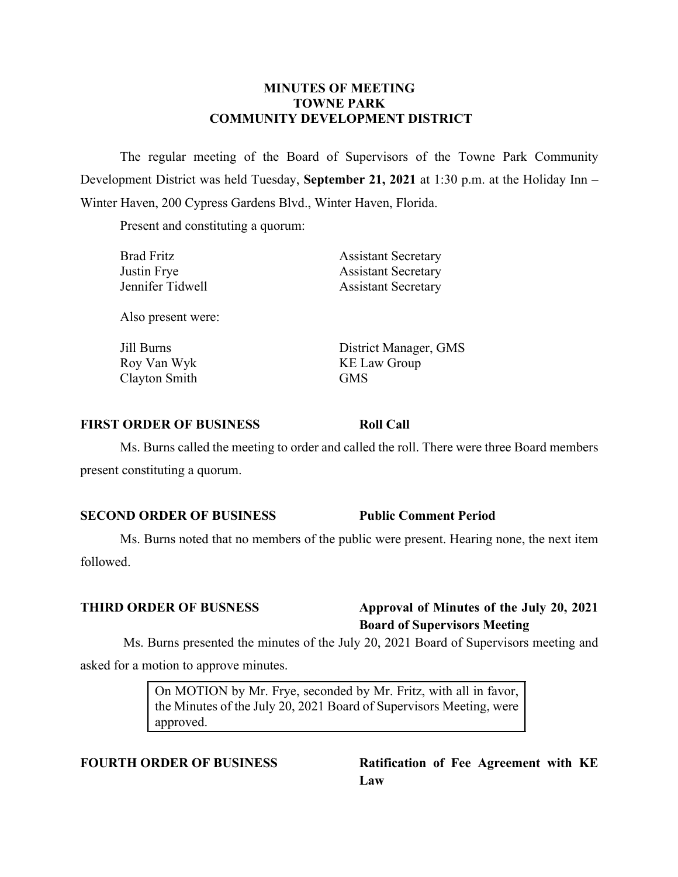#### **MINUTES OF MEETING TOWNE PARK COMMUNITY DEVELOPMENT DISTRICT**

The regular meeting of the Board of Supervisors of the Towne Park Community Development District was held Tuesday, **September 21, 2021** at 1:30 p.m. at the Holiday Inn – Winter Haven, 200 Cypress Gardens Blvd., Winter Haven, Florida.

Present and constituting a quorum:

| <b>Brad Fritz</b>  | <b>Assistant Secretary</b> |
|--------------------|----------------------------|
| Justin Frye        | <b>Assistant Secretary</b> |
| Jennifer Tidwell   | <b>Assistant Secretary</b> |
| Also present were: |                            |
| Jill Burns         | District Manager, GMS      |
| Roy Van Wyk        | <b>KE Law Group</b>        |
| Clayton Smith      | <b>GMS</b>                 |

#### **FIRST ORDER OF BUSINESS Roll Call**

Ms. Burns called the meeting to order and called the roll. There were three Board members present constituting a quorum.

#### **SECOND ORDER OF BUSINESS Public Comment Period**

Ms. Burns noted that no members of the public were present. Hearing none, the next item followed.

## **THIRD ORDER OF BUSNESS Approval of Minutes of the July 20, 2021 Board of Supervisors Meeting**

Ms. Burns presented the minutes of the July 20, 2021 Board of Supervisors meeting and asked for a motion to approve minutes.

> On MOTION by Mr. Frye, seconded by Mr. Fritz, with all in favor, the Minutes of the July 20, 2021 Board of Supervisors Meeting, were approved.

**FOURTH ORDER OF BUSINESS Ratification of Fee Agreement with KE Law**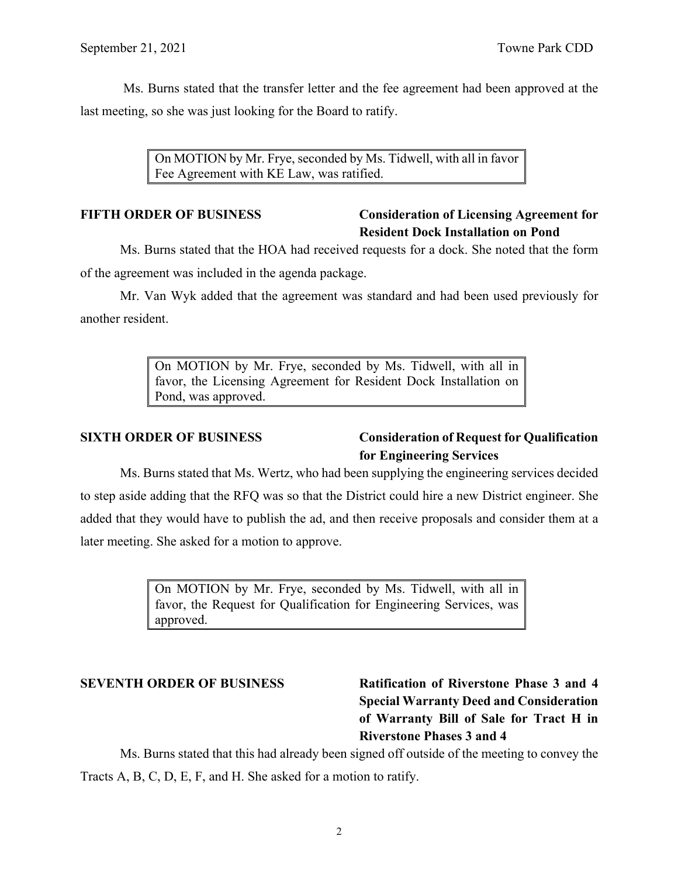Ms. Burns stated that the transfer letter and the fee agreement had been approved at the last meeting, so she was just looking for the Board to ratify.

> On MOTION by Mr. Frye, seconded by Ms. Tidwell, with all in favor Fee Agreement with KE Law, was ratified.

## **FIFTH ORDER OF BUSINESS Consideration of Licensing Agreement for Resident Dock Installation on Pond**

Ms. Burns stated that the HOA had received requests for a dock. She noted that the form of the agreement was included in the agenda package.

Mr. Van Wyk added that the agreement was standard and had been used previously for another resident.

> On MOTION by Mr. Frye, seconded by Ms. Tidwell, with all in favor, the Licensing Agreement for Resident Dock Installation on Pond, was approved.

# **SIXTH ORDER OF BUSINESS Consideration of Request for Qualification for Engineering Services**

Ms. Burns stated that Ms. Wertz, who had been supplying the engineering services decided to step aside adding that the RFQ was so that the District could hire a new District engineer. She added that they would have to publish the ad, and then receive proposals and consider them at a later meeting. She asked for a motion to approve.

> On MOTION by Mr. Frye, seconded by Ms. Tidwell, with all in favor, the Request for Qualification for Engineering Services, was approved.

**SEVENTH ORDER OF BUSINESS Ratification of Riverstone Phase 3 and 4 Special Warranty Deed and Consideration of Warranty Bill of Sale for Tract H in Riverstone Phases 3 and 4**

Ms. Burns stated that this had already been signed off outside of the meeting to convey the Tracts A, B, C, D, E, F, and H. She asked for a motion to ratify.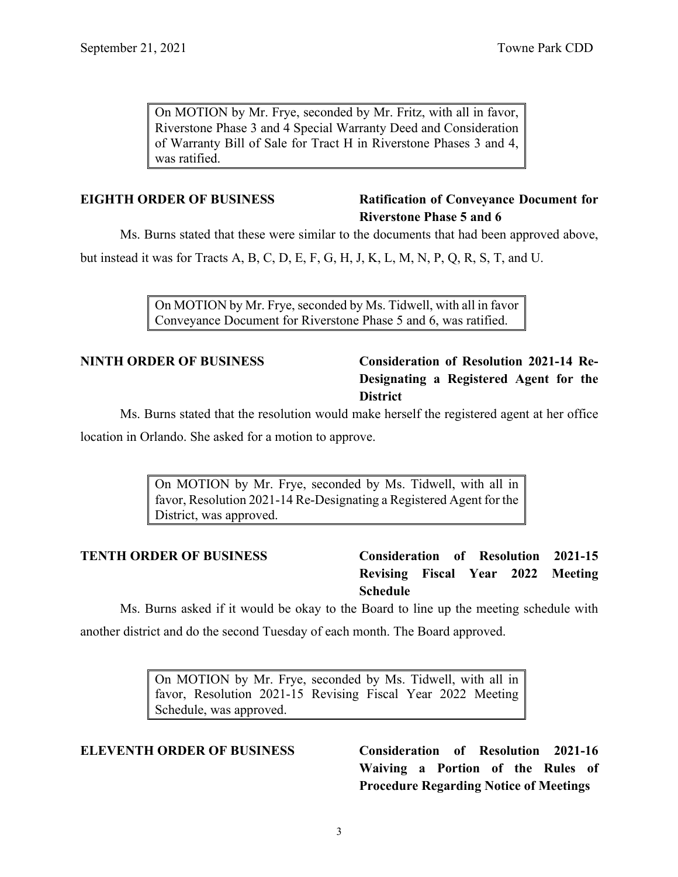On MOTION by Mr. Frye, seconded by Mr. Fritz, with all in favor, Riverstone Phase 3 and 4 Special Warranty Deed and Consideration of Warranty Bill of Sale for Tract H in Riverstone Phases 3 and 4, was ratified.

## **EIGHTH ORDER OF BUSINESS Ratification of Conveyance Document for Riverstone Phase 5 and 6**

Ms. Burns stated that these were similar to the documents that had been approved above,

but instead it was for Tracts A, B, C, D, E, F, G, H, J, K, L, M, N, P, Q, R, S, T, and U.

On MOTION by Mr. Frye, seconded by Ms. Tidwell, with all in favor Conveyance Document for Riverstone Phase 5 and 6, was ratified.

# **NINTH ORDER OF BUSINESS Consideration of Resolution 2021-14 Re-Designating a Registered Agent for the District**

Ms. Burns stated that the resolution would make herself the registered agent at her office

location in Orlando. She asked for a motion to approve.

On MOTION by Mr. Frye, seconded by Ms. Tidwell, with all in favor, Resolution 2021-14 Re-Designating a Registered Agent for the District, was approved.

**TENTH ORDER OF BUSINESS Consideration of Resolution 2021-15 Revising Fiscal Year 2022 Meeting Schedule**

Ms. Burns asked if it would be okay to the Board to line up the meeting schedule with another district and do the second Tuesday of each month. The Board approved.

> On MOTION by Mr. Frye, seconded by Ms. Tidwell, with all in favor, Resolution 2021-15 Revising Fiscal Year 2022 Meeting Schedule, was approved.

**ELEVENTH ORDER OF BUSINESS Consideration of Resolution 2021-16 Waiving a Portion of the Rules of Procedure Regarding Notice of Meetings**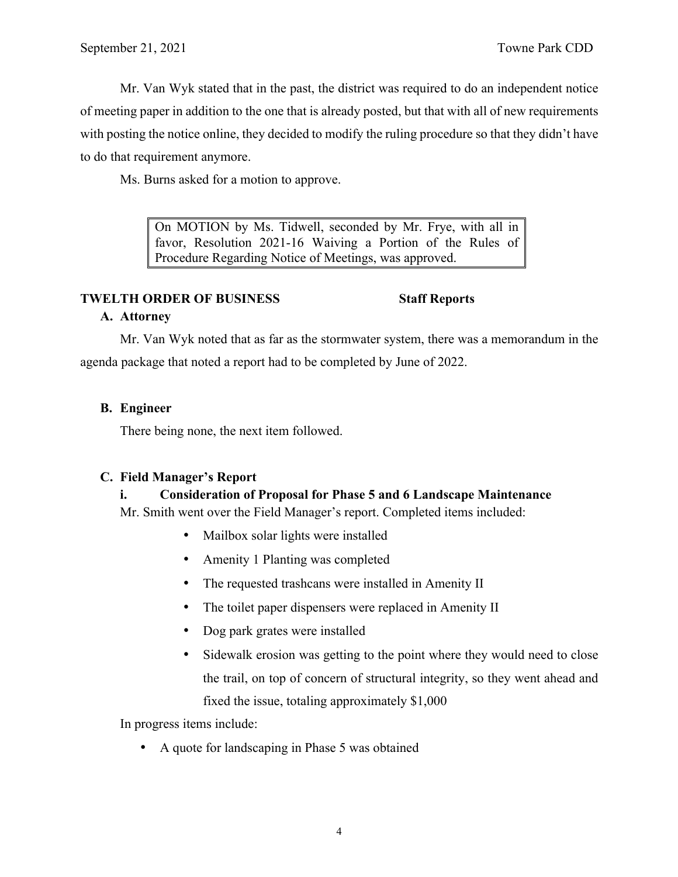Mr. Van Wyk stated that in the past, the district was required to do an independent notice of meeting paper in addition to the one that is already posted, but that with all of new requirements with posting the notice online, they decided to modify the ruling procedure so that they didn't have to do that requirement anymore.

Ms. Burns asked for a motion to approve.

On MOTION by Ms. Tidwell, seconded by Mr. Frye, with all in favor, Resolution 2021-16 Waiving a Portion of the Rules of Procedure Regarding Notice of Meetings, was approved.

#### **TWELTH ORDER OF BUSINESS Staff Reports**

## **A. Attorney**

Mr. Van Wyk noted that as far as the stormwater system, there was a memorandum in the agenda package that noted a report had to be completed by June of 2022.

## **B. Engineer**

There being none, the next item followed.

## **C. Field Manager's Report**

## **i. Consideration of Proposal for Phase 5 and 6 Landscape Maintenance**

Mr. Smith went over the Field Manager's report. Completed items included:

- Mailbox solar lights were installed
- Amenity 1 Planting was completed
- The requested trashcans were installed in Amenity II
- The toilet paper dispensers were replaced in Amenity II
- Dog park grates were installed
- Sidewalk erosion was getting to the point where they would need to close the trail, on top of concern of structural integrity, so they went ahead and fixed the issue, totaling approximately \$1,000

In progress items include:

• A quote for landscaping in Phase 5 was obtained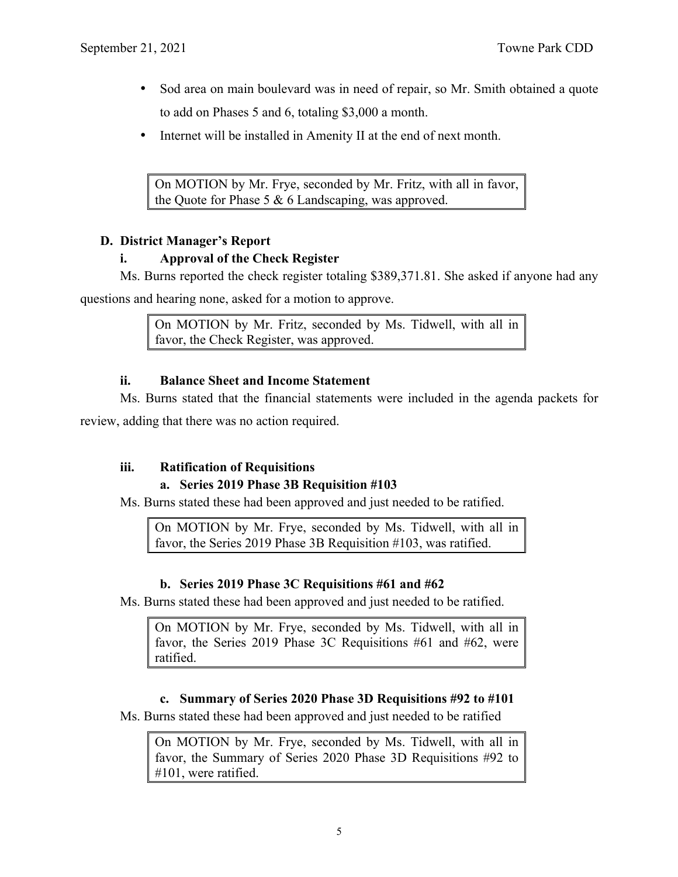- Sod area on main boulevard was in need of repair, so Mr. Smith obtained a quote to add on Phases 5 and 6, totaling \$3,000 a month.
- Internet will be installed in Amenity II at the end of next month.

On MOTION by Mr. Frye, seconded by Mr. Fritz, with all in favor, the Quote for Phase 5 & 6 Landscaping, was approved.

## **D. District Manager's Report**

## **i. Approval of the Check Register**

Ms. Burns reported the check register totaling \$389,371.81. She asked if anyone had any

questions and hearing none, asked for a motion to approve.

On MOTION by Mr. Fritz, seconded by Ms. Tidwell, with all in favor, the Check Register, was approved.

## **ii. Balance Sheet and Income Statement**

Ms. Burns stated that the financial statements were included in the agenda packets for review, adding that there was no action required.

## **iii. Ratification of Requisitions**

# **a. Series 2019 Phase 3B Requisition #103**

Ms. Burns stated these had been approved and just needed to be ratified.

On MOTION by Mr. Frye, seconded by Ms. Tidwell, with all in favor, the Series 2019 Phase 3B Requisition #103, was ratified.

## **b. Series 2019 Phase 3C Requisitions #61 and #62**

Ms. Burns stated these had been approved and just needed to be ratified.

On MOTION by Mr. Frye, seconded by Ms. Tidwell, with all in favor, the Series 2019 Phase 3C Requisitions #61 and #62, were ratified.

## **c. Summary of Series 2020 Phase 3D Requisitions #92 to #101**

Ms. Burns stated these had been approved and just needed to be ratified

On MOTION by Mr. Frye, seconded by Ms. Tidwell, with all in favor, the Summary of Series 2020 Phase 3D Requisitions #92 to #101, were ratified.